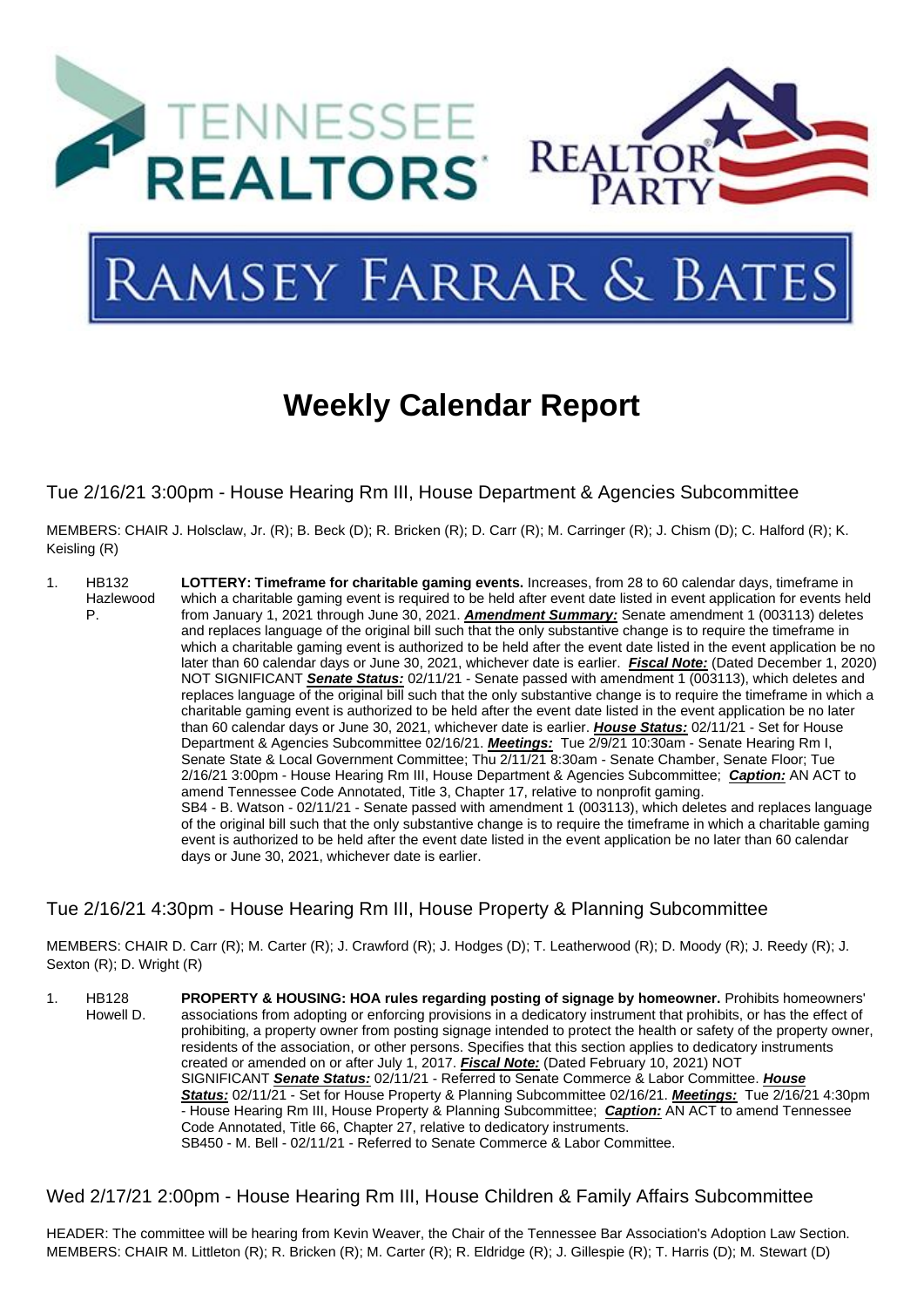

# **AMSEY FARRAR & BATES**

# **Weekly Calendar Report**

Tue 2/16/21 3:00pm - House Hearing Rm III, House Department & Agencies Subcommittee

MEMBERS: CHAIR J. Holsclaw, Jr. (R); B. Beck (D); R. Bricken (R); D. Carr (R); M. Carringer (R); J. Chism (D); C. Halford (R); K. Keisling (R)

1. HB132 Hazlewood P. **LOTTERY: Timeframe for [charitable gaming events.](https://tls.mleesmith.com/2021-2022/pdf/SB0004.pdf)** Increases, from 28 to 60 calendar days, timeframe in which a charitable gaming event is required to be held after event date listed in event application for events held from January 1, 2021 through June 30, 2021. *Amendment Summary:* Senate amendment 1 (003113) deletes and replaces language of the original bill such that the only substantive change is to require the timeframe in which a charitable gaming event is authorized to be held after the event date listed in the event application be no later than 60 calendar days or June 30, 2021, whichever date is earlier. *Fiscal Note:* (Dated December 1, 2020) NOT SIGNIFICANT *Senate Status:* 02/11/21 - Senate passed with amendment 1 (003113), which deletes and replaces language of the original bill such that the only substantive change is to require the timeframe in which a charitable gaming event is authorized to be held after the event date listed in the event application be no later than 60 calendar days or June 30, 2021, whichever date is earlier. *House Status:* 02/11/21 - Set for House Department & Agencies Subcommittee 02/16/21. *Meetings:* Tue 2/9/21 10:30am - Senate Hearing Rm I, Senate State & Local Government Committee; Thu 2/11/21 8:30am - Senate Chamber, Senate Floor; Tue 2/16/21 3:00pm - House Hearing Rm III, House Department & Agencies Subcommittee; *Caption:* AN ACT to amend Tennessee Code Annotated, Title 3, Chapter 17, relative to nonprofit gaming. SB4 - B. Watson - 02/11/21 - Senate passed with amendment 1 (003113), which deletes and replaces language of the original bill such that the only substantive change is to require the timeframe in which a charitable gaming event is authorized to be held after the event date listed in the event application be no later than 60 calendar days or June 30, 2021, whichever date is earlier.

#### Tue 2/16/21 4:30pm - House Hearing Rm III, House Property & Planning Subcommittee

MEMBERS: CHAIR D. Carr (R); M. Carter (R); J. Crawford (R); J. Hodges (D); T. Leatherwood (R); D. Moody (R); J. Reedy (R); J. Sexton (R); D. Wright (R)

1. HB128 Howell D. **PROPERTY & HOUSING: [HOA rules regarding posting of signage by homeowner.](https://tls.mleesmith.com/2021-2022/pdf/SB0450.pdf)** Prohibits homeowners' associations from adopting or enforcing provisions in a dedicatory instrument that prohibits, or has the effect of prohibiting, a property owner from posting signage intended to protect the health or safety of the property owner, residents of the association, or other persons. Specifies that this section applies to dedicatory instruments created or amended on or after July 1, 2017. *Fiscal Note:* (Dated February 10, 2021) NOT SIGNIFICANT *Senate Status:* 02/11/21 - Referred to Senate Commerce & Labor Committee. *House Status:* 02/11/21 - Set for House Property & Planning Subcommittee 02/16/21. *Meetings:* Tue 2/16/21 4:30pm - House Hearing Rm III, House Property & Planning Subcommittee; *Caption:* AN ACT to amend Tennessee Code Annotated, Title 66, Chapter 27, relative to dedicatory instruments. SB450 - M. Bell - 02/11/21 - Referred to Senate Commerce & Labor Committee.

## Wed 2/17/21 2:00pm - House Hearing Rm III, House Children & Family Affairs Subcommittee

HEADER: The committee will be hearing from Kevin Weaver, the Chair of the Tennessee Bar Association's Adoption Law Section. MEMBERS: CHAIR M. Littleton (R); R. Bricken (R); M. Carter (R); R. Eldridge (R); J. Gillespie (R); T. Harris (D); M. Stewart (D)